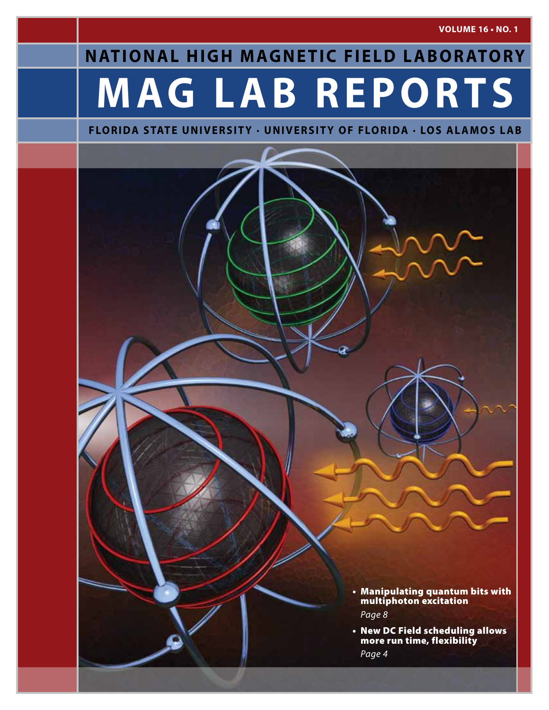**VOLUME 16 • No. 1**

# **M AG L A B R E P O R T S NATIONAL HIGH MAGNETIC FIELD LABORATORY**

### **FLORIDA STATE UNIVERSITY · UNIVERSITY OF FLORIDA · LOS ALAMOS LAB**

- • Manipulating quantum bits with multiphoton excitation *Page 8*
- New DC Field scheduling allows more run time, flexibility *Page 4*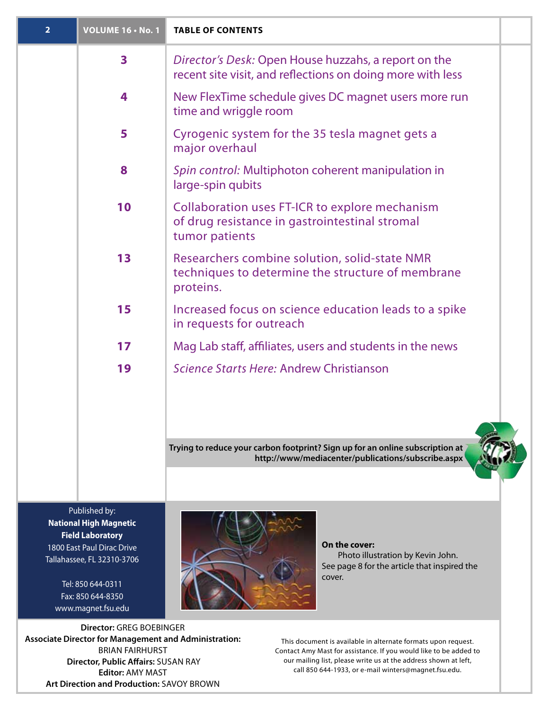| $\overline{2}$ | <b>VOLUME 16 . No. 1</b> | <b>TABLE OF CONTENTS</b>                                                                                                            |  |
|----------------|--------------------------|-------------------------------------------------------------------------------------------------------------------------------------|--|
|                | $\overline{\mathbf{3}}$  | Director's Desk: Open House huzzahs, a report on the<br>recent site visit, and reflections on doing more with less                  |  |
|                | 4                        | New FlexTime schedule gives DC magnet users more run<br>time and wriggle room                                                       |  |
|                | 5                        | Cyrogenic system for the 35 tesla magnet gets a<br>major overhaul                                                                   |  |
|                | 8                        | Spin control: Multiphoton coherent manipulation in<br>large-spin qubits                                                             |  |
|                | 10                       | Collaboration uses FT-ICR to explore mechanism<br>of drug resistance in gastrointestinal stromal<br>tumor patients                  |  |
|                | 13                       | Researchers combine solution, solid-state NMR<br>techniques to determine the structure of membrane<br>proteins.                     |  |
|                | 15                       | Increased focus on science education leads to a spike<br>in requests for outreach                                                   |  |
|                | 17                       | Mag Lab staff, affiliates, users and students in the news                                                                           |  |
|                | 19                       | Science Starts Here: Andrew Christianson                                                                                            |  |
|                |                          | Trying to reduce your carbon footprint? Sign up for an online subscription at<br>http://www/mediacenter/publications/subscribe.aspx |  |
|                |                          |                                                                                                                                     |  |

Published by: **National High Magnetic Field Laboratory** 1800 East Paul Dirac Drive Tallahassee, FL 32310-3706

> Tel: 850 644-0311 Fax: 850 644-8350 www.magnet.fsu.edu



**On the cover:** Photo illustration by Kevin John. See page 8 for the article that inspired the cover.

**Director:** Greg Boebinger **Associate Director for Management and Administration:** BRIAN FAIRHURST  **Director, Public Affairs:** Susan Ray **Editor:** AMY MAST **Art Direction and Production: SAVOY BROWN** 

This document is available in alternate formats upon request. Contact Amy Mast for assistance. If you would like to be added to our mailing list, please write us at the address shown at left, call 850 644-1933, or e-mail winters@magnet.fsu.edu.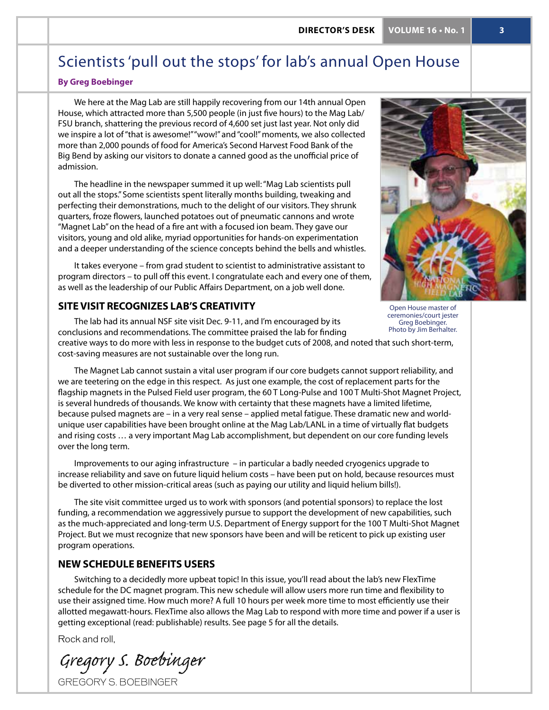## Scientists 'pull out the stops' for lab's annual Open House

### **By Greg Boebinger**

We here at the Mag Lab are still happily recovering from our 14th annual Open House, which attracted more than 5,500 people (in just five hours) to the Mag Lab/ FSU branch, shattering the previous record of 4,600 set just last year. Not only did we inspire a lot of "that is awesome!" "wow!" and "cool!" moments, we also collected more than 2,000 pounds of food for America's Second Harvest Food Bank of the Big Bend by asking our visitors to donate a canned good as the unofficial price of admission.

The headline in the newspaper summed it up well: "Mag Lab scientists pull out all the stops." Some scientists spent literally months building, tweaking and perfecting their demonstrations, much to the delight of our visitors. They shrunk quarters, froze flowers, launched potatoes out of pneumatic cannons and wrote "Magnet Lab" on the head of a fire ant with a focused ion beam. They gave our visitors, young and old alike, myriad opportunities for hands-on experimentation and a deeper understanding of the science concepts behind the bells and whistles.

It takes everyone – from grad student to scientist to administrative assistant to program directors – to pull off this event. I congratulate each and every one of them, as well as the leadership of our Public Affairs Department, on a job well done.

### **Sitevisit recognizes lab's creativity**



Open House master of ceremonies/court jester Greg Boebinger. Photo by Jim Berhalter.

The lab had its annual NSF site visit Dec. 9-11, and I'm encouraged by its conclusions and recommendations. The committee praised the lab for finding creative ways to do more with less in response to the budget cuts of 2008, and noted that such short-term, cost-saving measures are not sustainable over the long run.

The Magnet Lab cannot sustain a vital user program if our core budgets cannot support reliability, and we are teetering on the edge in this respect. As just one example, the cost of replacement parts for the flagship magnets in the Pulsed Field user program, the 60 T Long-Pulse and 100 T Multi-Shot Magnet Project, is several hundreds of thousands. We know with certainty that these magnets have a limited lifetime, because pulsed magnets are – in a very real sense – applied metal fatigue. These dramatic new and worldunique user capabilities have been brought online at the Mag Lab/LANL in a time of virtually flat budgets and rising costs … a very important Mag Lab accomplishment, but dependent on our core funding levels over the long term.

Improvements to our aging infrastructure – in particular a badly needed cryogenics upgrade to increase reliability and save on future liquid helium costs – have been put on hold, because resources must be diverted to other mission-critical areas (such as paying our utility and liquid helium bills!).

The site visit committee urged us to work with sponsors (and potential sponsors) to replace the lost funding, a recommendation we aggressively pursue to support the development of new capabilities, such as the much-appreciated and long-term U.S. Department of Energy support for the 100 T Multi-Shot Magnet Project. But we must recognize that new sponsors have been and will be reticent to pick up existing user program operations.

### **New schedule benefits users**

Switching to a decidedly more upbeat topic! In this issue, you'll read about the lab's new FlexTime schedule for the DC magnet program. This new schedule will allow users more run time and flexibility to use their assigned time. How much more? A full 10 hours per week more time to most efficiently use their allotted megawatt-hours. FlexTime also allows the Mag Lab to respond with more time and power if a user is getting exceptional (read: publishable) results. See page 5 for all the details.

Rock and roll,

Gregory S. Boebinger

GREGORY S. BOEBINGER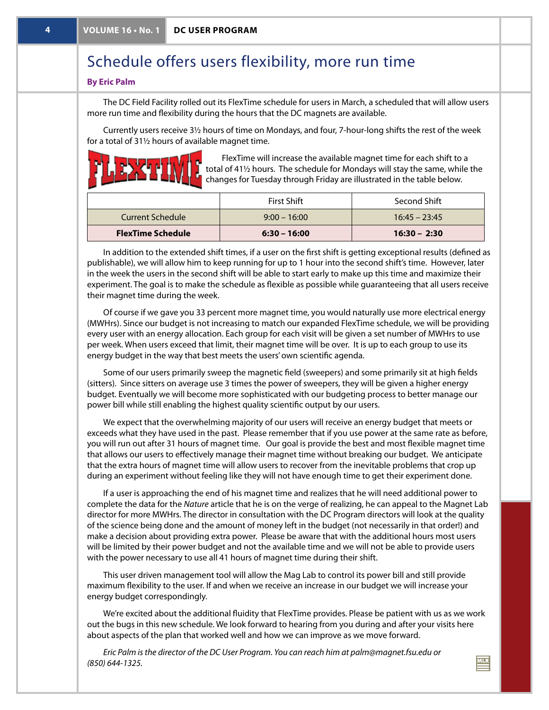## Schedule offers users flexibility, more run time

### **By Eric Palm**

The DC Field Facility rolled out its FlexTime schedule for users in March, a scheduled that will allow users more run time and flexibility during the hours that the DC magnets are available.

Currently users receive 3½ hours of time on Mondays, and four, 7-hour-long shifts the rest of the week for a total of 31½ hours of available magnet time.



FlexTime will increase the available magnet time for each shift to a total of 41½ hours. The schedule for Mondays will stay the same, while the changes for Tuesday through Friday are illustrated in the table below.

| Current Schedule         | <b>First Shift</b><br>$9:00 - 16:00$ | Second Shift<br>$16:45 - 23:45$ |
|--------------------------|--------------------------------------|---------------------------------|
| <b>FlexTime Schedule</b> | $6:30 - 16:00$                       | $16:30 - 2:30$                  |

In addition to the extended shift times, if a user on the first shift is getting exceptional results (defined as publishable), we will allow him to keep running for up to 1 hour into the second shift's time. However, later in the week the users in the second shift will be able to start early to make up this time and maximize their experiment. The goal is to make the schedule as flexible as possible while guaranteeing that all users receive their magnet time during the week.

Of course if we gave you 33 percent more magnet time, you would naturally use more electrical energy (MWHrs). Since our budget is not increasing to match our expanded FlexTime schedule, we will be providing every user with an energy allocation. Each group for each visit will be given a set number of MWHrs to use per week. When users exceed that limit, their magnet time will be over. It is up to each group to use its energy budget in the way that best meets the users' own scientific agenda.

Some of our users primarily sweep the magnetic field (sweepers) and some primarily sit at high fields (sitters). Since sitters on average use 3 times the power of sweepers, they will be given a higher energy budget. Eventually we will become more sophisticated with our budgeting process to better manage our power bill while still enabling the highest quality scientific output by our users.

We expect that the overwhelming majority of our users will receive an energy budget that meets or exceeds what they have used in the past. Please remember that if you use power at the same rate as before, you will run out after 31 hours of magnet time. Our goal is provide the best and most flexible magnet time that allows our users to effectively manage their magnet time without breaking our budget. We anticipate that the extra hours of magnet time will allow users to recover from the inevitable problems that crop up during an experiment without feeling like they will not have enough time to get their experiment done.

If a user is approaching the end of his magnet time and realizes that he will need additional power to complete the data for the *Nature* article that he is on the verge of realizing, he can appeal to the Magnet Lab director for more MWHrs. The director in consultation with the DC Program directors will look at the quality of the science being done and the amount of money left in the budget (not necessarily in that order!) and make a decision about providing extra power. Please be aware that with the additional hours most users will be limited by their power budget and not the available time and we will not be able to provide users with the power necessary to use all 41 hours of magnet time during their shift.

This user driven management tool will allow the Mag Lab to control its power bill and still provide maximum flexibility to the user. If and when we receive an increase in our budget we will increase your energy budget correspondingly.

We're excited about the additional fluidity that FlexTime provides. Please be patient with us as we work out the bugs in this new schedule. We look forward to hearing from you during and after your visits here about aspects of the plan that worked well and how we can improve as we move forward.

*Eric Palm is the director of the DC User Program. You can reach him at palm@magnet.fsu.edu or (850) 644-1325.*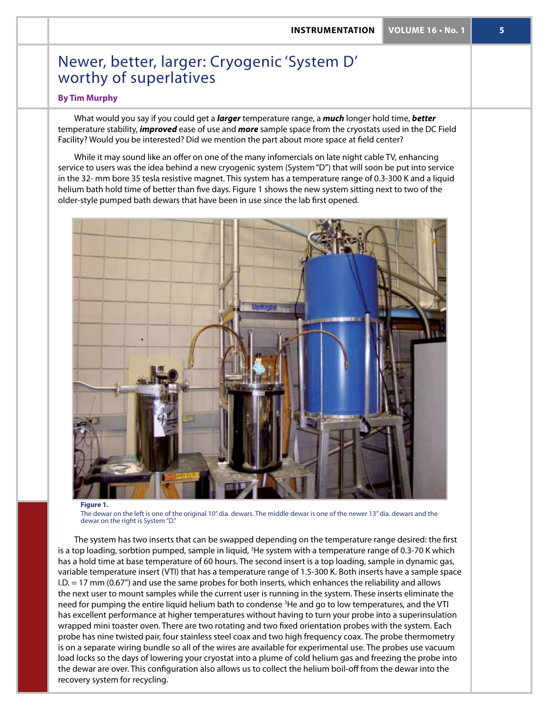## Newer, better, larger: Cryogenic 'System D' worthy of superlatives

### **By Tim Murphy**

What would you say if you could get a *larger* temperature range, a *much* longer hold time, *better* temperature stability, *improved* ease of use and *more* sample space from the cryostats used in the DC Field Facility? Would you be interested? Did we mention the part about more space at field center?

While it may sound like an offer on one of the many infomercials on late night cable TV, enhancing service to users was the idea behind a new cryogenic system (System "D") that will soon be put into service in the 32- mm bore 35 tesla resistive magnet. This system has a temperature range of 0.3-300 K and a liquid helium bath hold time of better than five days. Figure 1 shows the new system sitting next to two of the older-style pumped bath dewars that have been in use since the lab first opened.



### **Figure 1.**

The dewar on the left is one of the original 10" dia. dewars. The middle dewar is one of the newer 13" dia. dewars and the dewar on the right is System "D."

The system has two inserts that can be swapped depending on the temperature range desired: the first is a top loading, sorbtion pumped, sample in liquid, <sup>3</sup>He system with a temperature range of 0.3-70 K which has a hold time at base temperature of 60 hours. The second insert is a top loading, sample in dynamic gas, variable temperature insert (VTI) that has a temperature range of 1.5-300 K. Both inserts have a sample space I.D. = 17 mm (0.67") and use the same probes for both inserts, which enhances the reliability and allows the next user to mount samples while the current user is running in the system. These inserts eliminate the need for pumping the entire liquid helium bath to condense <sup>3</sup>He and go to low temperatures, and the VTI has excellent performance at higher temperatures without having to turn your probe into a superinsulation wrapped mini toaster oven. There are two rotating and two fixed orientation probes with the system. Each probe has nine twisted pair, four stainless steel coax and two high frequency coax. The probe thermometry is on a separate wiring bundle so all of the wires are available for experimental use. The probes use vacuum load locks so the days of lowering your cryostat into a plume of cold helium gas and freezing the probe into the dewar are over. This configuration also allows us to collect the helium boil-off from the dewar into the recovery system for recycling.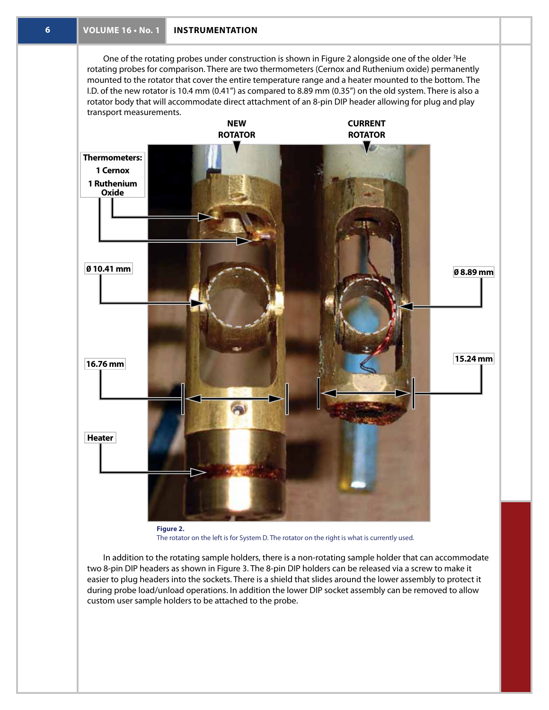One of the rotating probes under construction is shown in Figure 2 alongside one of the older  ${}^{3}$ He rotating probes for comparison. There are two thermometers (Cernox and Ruthenium oxide) permanently mounted to the rotator that cover the entire temperature range and a heater mounted to the bottom. The I.D. of the new rotator is 10.4 mm (0.41") as compared to 8.89 mm (0.35") on the old system. There is also a rotator body that will accommodate direct attachment of an 8-pin DIP header allowing for plug and play transport measurements.



The rotator on the left is for System D. The rotator on the right is what is currently used.

In addition to the rotating sample holders, there is a non-rotating sample holder that can accommodate two 8-pin DIP headers as shown in Figure 3. The 8-pin DIP holders can be released via a screw to make it easier to plug headers into the sockets. There is a shield that slides around the lower assembly to protect it during probe load/unload operations. In addition the lower DIP socket assembly can be removed to allow custom user sample holders to be attached to the probe.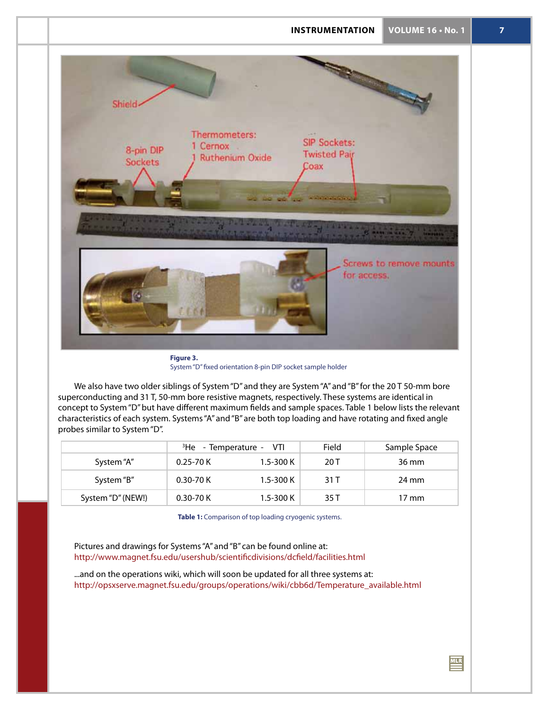

**Figure 3.** System "D" fixed orientation 8-pin DIP socket sample holder

We also have two older siblings of System "D" and they are System "A" and "B" for the 20T50-mm bore superconducting and 31 T, 50-mm bore resistive magnets, respectively. These systems are identical in concept to System "D" but have different maximum fields and sample spaces. Table 1 below lists the relevant characteristics of each system. Systems "A" and "B" are both top loading and have rotating and fixed angle probes similar to System "D".

|                   | <sup>3</sup> He - Temperature - VTI |               | Field | Sample Space    |
|-------------------|-------------------------------------|---------------|-------|-----------------|
| System "A"        | $0.25 - 70K$                        | $1.5 - 300 K$ | 20 T  | 36 mm           |
| System "B"        | $0.30 - 70K$                        | $1.5 - 300 K$ | 31 T  | 24 mm           |
| System "D" (NEW!) | $0.30 - 70K$                        | $1.5 - 300 K$ | 35 T  | $17 \text{ mm}$ |

**Table 1:** Comparison of top loading cryogenic systems.

Pictures and drawings for Systems "A" and "B" can be found online at: http://www.magnet.fsu.edu/usershub/scientificdivisions/dcfield/facilities.html

...and on the operations wiki, which will soon be updated for all three systems at: http://opsxserve.magnet.fsu.edu/groups/operations/wiki/cbb6d/Temperature\_available.html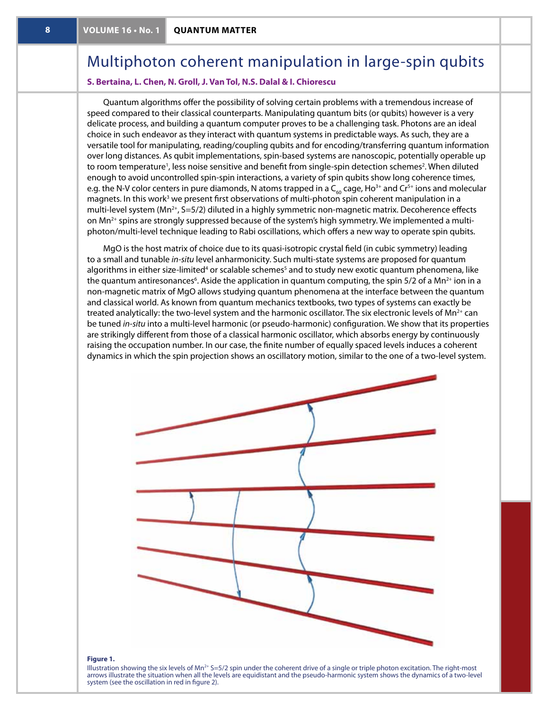## Multiphoton coherent manipulation in large-spin qubits

### **S. Bertaina, L. Chen, N. Groll, J. Van Tol, N.S. Dalal & I. Chiorescu**

Quantum algorithms offer the possibility of solving certain problems with a tremendous increase of speed compared to their classical counterparts. Manipulating quantum bits (or qubits) however is a very delicate process, and building a quantum computer proves to be a challenging task. Photons are an ideal choice in such endeavor as they interact with quantum systems in predictable ways. As such, they are a versatile tool for manipulating, reading/coupling qubits and for encoding/transferring quantum information over long distances. As qubit implementations, spin-based systems are nanoscopic, potentially operable up to room temperature<sup>1</sup>, less noise sensitive and benefit from single-spin detection schemes<sup>2</sup>. When diluted enough to avoid uncontrolled spin-spin interactions, a variety of spin qubits show long coherence times, e.g. the N-V color centers in pure diamonds, N atoms trapped in a  $C_{60}$  cage, Ho<sup>3+</sup> and Cr<sup>5+</sup> ions and molecular magnets. In this work<sup>3</sup> we present first observations of multi-photon spin coherent manipulation in a multi-level system  $(Mn^{2+}, S=5/2)$  diluted in a highly symmetric non-magnetic matrix. Decoherence effects on Mn<sup>2+</sup> spins are strongly suppressed because of the system's high symmetry. We implemented a multiphoton/multi-level technique leading to Rabi oscillations, which offers a new way to operate spin qubits.

MgO is the host matrix of choice due to its quasi-isotropic crystal field (in cubic symmetry) leading to a small and tunable *in-situ* level anharmonicity. Such multi-state systems are proposed for quantum algorithms in either size-limited<sup>4</sup> or scalable schemes<sup>5</sup> and to study new exotic quantum phenomena, like the quantum antiresonances<sup>6</sup>. Aside the application in quantum computing, the spin 5/2 of a Mn<sup>2+</sup> ion in a non-magnetic matrix of MgO allows studying quantum phenomena at the interface between the quantum and classical world. As known from quantum mechanics textbooks, two types of systems can exactly be treated analytically: the two-level system and the harmonic oscillator. The six electronic levels of Mn<sup>2+</sup> can be tuned *in-situ* into a multi-level harmonic (or pseudo-harmonic) configuration. We show that its properties are strikingly different from those of a classical harmonic oscillator, which absorbs energy by continuously raising the occupation number. In our case, the finite number of equally spaced levels induces a coherent dynamics in which the spin projection shows an oscillatory motion, similar to the one of a two-level system.



### **Figure 1.**

Illustration showing the six levels of  $Mn^{2+}$  S=5/2 spin under the coherent drive of a single or triple photon excitation. The right-most arrows illustrate the situation when all the levels are equidistant and the pseudo-harmonic system shows the dynamics of a two-level system (see the oscillation in red in figure 2).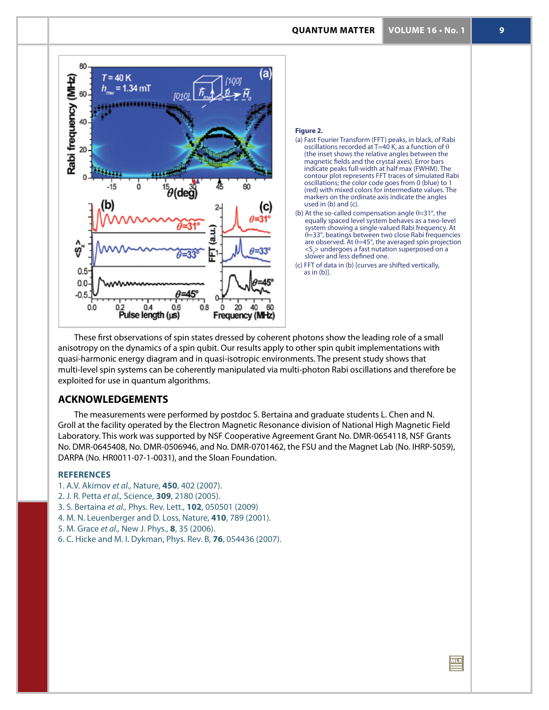



### **Figure 2.**

- (a) Fast Fourier Transform (FFT) peaks, in black, of Rabi oscillations recorded at T=40 K, as a function of  $\theta$ (the inset shows the relative angles between the magnetic fields and the crystal axes). Error bars indicate peaks full-width at half max (FWHM). The contour plot represents FFT traces of simulated Rabi oscillations; the color code goes from 0 (blue) to 1 (red) with mixed colors for intermediate values. The markers on the ordinate axis indicate the angles used in (b) and (c).
- (b) At the so-called compensation angle  $\theta$ =31°, the equally spaced level system behaves as a two-level system showing a single-valued Rabi frequency. At  $\theta = 33^\circ$ , beatings between two close Rabi frequencies are observed. At  $\theta$ =45°, the averaged spin projection <S<sub>z</sub>> undergoes a fast nutation superposed on a slower and less defined one.
- (c) FFT of data in (b) [curves are shifted vertically, as in (b)].

These first observations of spin states dressed by coherent photons show the leading role of a small anisotropy on the dynamics of a spin qubit. Our results apply to other spin qubit implementations with quasi-harmonic energy diagram and in quasi-isotropic environments. The present study shows that multi-level spin systems can be coherently manipulated via multi-photon Rabi oscillations and therefore be exploited for use in quantum algorithms.

### **ACKNOWLEDGEMENTS**

The measurements were performed by postdoc S. Bertaina and graduate students L. Chen and N. Groll at the facility operated by the Electron Magnetic Resonance division of National High Magnetic Field Laboratory. This work was supported by NSF Cooperative Agreement Grant No. DMR-0654118, NSF Grants No. DMR-0645408, No. DMR-0506946, and No. DMR-0701462, the FSU and the Magnet Lab (No. IHRP-5059), DARPA (No. HR0011-07-1-0031), and the Sloan Foundation.

### **REFERENCES**

- 1. A.V. Akimov *et al.,* Nature, **450**, 402 (2007).
- 2. J. R. Petta *et al.,* Science, **309**, 2180 (2005).
- 3. S. Bertaina *et al.,* Phys. Rev. Lett., **102**, 050501 (2009)
- 4. M. N. Leuenberger and D. Loss, Nature, **410**, 789 (2001).
- 5. M. Grace *et al.,* New J. Phys., **8**, 35 (2006).
- 6. C. Hicke and M. I. Dykman, Phys. Rev. B, **76**, 054436 (2007).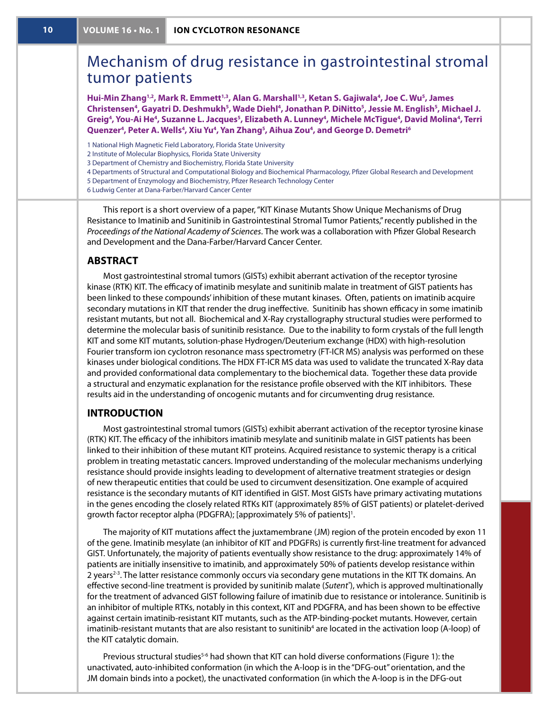## Mechanism of drug resistance in gastrointestinal stromal tumor patients

**Hui-Min Zhang1,2, Mark R. Emmett1,3, Alan G. Marshall1,3, Ketan S. Gajiwala<sup>4</sup> , Joe C. Wu<sup>5</sup> , James Christensen<sup>4</sup> , Gayatri D. Deshmukh<sup>5</sup> , Wade Diehl<sup>4</sup> , Jonathan P. DiNitto<sup>5</sup> , Jessie M. English<sup>5</sup> , Michael J. Greig<sup>4</sup> , You-Ai He<sup>4</sup> , Suzanne L. Jacques<sup>5</sup> , Elizabeth A. Lunney<sup>4</sup> , Michele McTigue<sup>4</sup> , David Molina<sup>4</sup> , Terri Quenzer<sup>4</sup> , Peter A. Wells<sup>4</sup> , Xiu Yu<sup>4</sup> , Yan Zhang<sup>5</sup> , Aihua Zou<sup>4</sup> , and George D. Demetri<sup>6</sup>**

- 1 National High Magnetic Field Laboratory, Florida State University
- 2 Institute of Molecular Biophysics, Florida State University
- 3 Department of Chemistry and Biochemistry, Florida State University
- 4 Departments of Structural and Computational Biology and Biochemical Pharmacology, Pfizer Global Research and Development
- 5 Department of Enzymology and Biochemistry, Pfizer Research Technology Center
- 6 Ludwig Center at Dana-Farber/Harvard Cancer Center

This report is a short overview of a paper, "KIT Kinase Mutants Show Unique Mechanisms of Drug Resistance to Imatinib and Sunitinib in Gastrointestinal Stromal Tumor Patients," recently published in the *Proceedings of the National Academy of Sciences*. The work was a collaboration with Pfizer Global Research and Development and the Dana-Farber/Harvard Cancer Center.

### **ABSTRACT**

Most gastrointestinal stromal tumors (GISTs) exhibit aberrant activation of the receptor tyrosine kinase (RTK) KIT. The efficacy of imatinib mesylate and sunitinib malate in treatment of GIST patients has been linked to these compounds' inhibition of these mutant kinases. Often, patients on imatinib acquire secondary mutations in KIT that render the drug ineffective. Sunitinib has shown efficacy in some imatinib resistant mutants, but not all. Biochemical and X-Ray crystallography structural studies were performed to determine the molecular basis of sunitinib resistance. Due to the inability to form crystals of the full length KIT and some KIT mutants, solution-phase Hydrogen/Deuterium exchange (HDX) with high-resolution Fourier transform ion cyclotron resonance mass spectrometry (FT-ICR MS) analysis was performed on these kinases under biological conditions. The HDX FT-ICR MS data was used to validate the truncated X-Ray data and provided conformational data complementary to the biochemical data. Together these data provide a structural and enzymatic explanation for the resistance profile observed with the KIT inhibitors. These results aid in the understanding of oncogenic mutants and for circumventing drug resistance.

### **Introduction**

Most gastrointestinal stromal tumors (GISTs) exhibit aberrant activation of the receptor tyrosine kinase (RTK) KIT. The efficacy of the inhibitors imatinib mesylate and sunitinib malate in GIST patients has been linked to their inhibition of these mutant KIT proteins. Acquired resistance to systemic therapy is a critical problem in treating metastatic cancers. Improved understanding of the molecular mechanisms underlying resistance should provide insights leading to development of alternative treatment strategies or design of new therapeutic entities that could be used to circumvent desensitization. One example of acquired resistance is the secondary mutants of KIT identified in GIST. Most GISTs have primary activating mutations in the genes encoding the closely related RTKs KIT (approximately 85% of GIST patients) or platelet-derived growth factor receptor alpha (PDGFRA); [approximately 5% of patients]<sup>1</sup>.

The majority of KIT mutations affect the juxtamembrane (JM) region of the protein encoded by exon 11 of the gene. Imatinib mesylate (an inhibitor of KIT and PDGFRs) is currently first-line treatment for advanced GIST. Unfortunately, the majority of patients eventually show resistance to the drug: approximately 14% of patients are initially insensitive to imatinib, and approximately 50% of patients develop resistance within 2 years<sup>2-3</sup>. The latter resistance commonly occurs via secondary gene mutations in the KIT TK domains. An effective second-line treatment is provided by sunitinib malate (*Sutent®* ), which is approved multinationally for the treatment of advanced GIST following failure of imatinib due to resistance or intolerance. Sunitinib is an inhibitor of multiple RTKs, notably in this context, KIT and PDGFRA, and has been shown to be effective against certain imatinib-resistant KIT mutants, such as the ATP-binding-pocket mutants. However, certain imatinib-resistant mutants that are also resistant to sunitinib<sup>4</sup> are located in the activation loop (A-loop) of the KIT catalytic domain.

Previous structural studies<sup>5-6</sup> had shown that KIT can hold diverse conformations (Figure 1): the unactivated, auto-inhibited conformation (in which the A-loop is in the "DFG-out" orientation, and the JM domain binds into a pocket), the unactivated conformation (in which the A-loop is in the DFG-out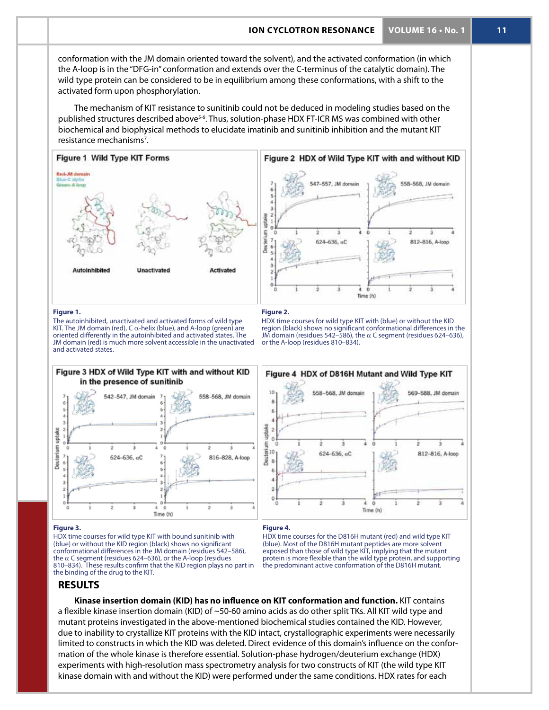### **ion cyclotron resonance VOLUME 16 • No. 1 11**

conformation with the JM domain oriented toward the solvent), and the activated conformation (in which the A-loop is in the "DFG-in" conformation and extends over the C-terminus of the catalytic domain). The wild type protein can be considered to be in equilibrium among these conformations, with a shift to the activated form upon phosphorylation.

The mechanism of KIT resistance to sunitinib could not be deduced in modeling studies based on the published structures described above<sup>5-6</sup>. Thus, solution-phase HDX FT-ICR MS was combined with other biochemical and biophysical methods to elucidate imatinib and sunitinib inhibition and the mutant KIT resistance mechanisms<sup>7</sup>.



### **Figure 1.**

The autoinhibited, unactivated and activated forms of wild type KIT. The JM domain (red), C  $\alpha$ -helix (blue), and A-loop (green) are oriented differently in the autoinhibited and activated states. The JM domain (red) is much more solvent accessible in the unactivated and activated states.

Figure 3 HDX of Wild Type KIT with and without KID

 $\circ$ 

Time (h)

in the presence of sunitinib

542-547, JM domain

 $624 - 636$ , aC

### **Figure 2.**

558-568, JM domain

816-828, A-loop

or the A-loop (residues 810–834).



HDX time courses for wild type KIT with (blue) or without the KID region (black) shows no significant conformational differences in the JM domain (residues 542–586), the a C segment (residues 624–636),

### **Figure 3.**

uptake

Deuterium

HDX time courses for wild type KIT with bound sunitinib with (blue) or without the KID region (black) shows no significant conformational differences in the JM domain (residues 542–586), the  $\alpha$  C segment (residues 624–636), or the A-loop (residues 810–834). These results confirm that the KID region plays no part in the binding of the drug to the KIT.

### **Figure 4.**

HDX time courses for the D816H mutant (red) and wild type KIT (blue). Most of the D816H mutant peptides are more solvent exposed than those of wild type KIT, implying that the mutant protein is more flexible than the wild type protein, and supporting the predominant active conformation of the D816H mutant.

### **Results**

**Kinase insertion domain (KID) has no influence on KIT conformation and function.** KIT contains a flexible kinase insertion domain (KID) of ~50-60 amino acids as do other split TKs. All KIT wild type and mutant proteins investigated in the above-mentioned biochemical studies contained the KID. However, due to inability to crystallize KIT proteins with the KID intact, crystallographic experiments were necessarily limited to constructs in which the KID was deleted. Direct evidence of this domain's influence on the conformation of the whole kinase is therefore essential. Solution-phase hydrogen/deuterium exchange (HDX) experiments with high-resolution mass spectrometry analysis for two constructs of KIT (the wild type KIT kinase domain with and without the KID) were performed under the same conditions. HDX rates for each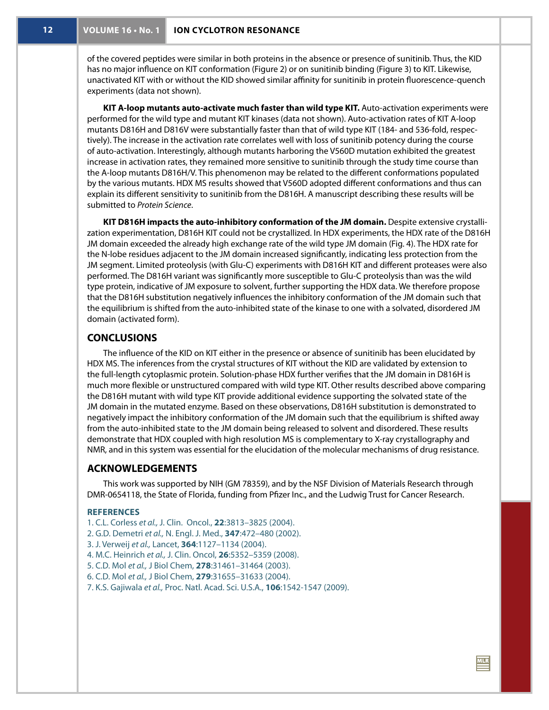of the covered peptides were similar in both proteins in the absence or presence of sunitinib. Thus, the KID has no major influence on KIT conformation (Figure 2) or on sunitinib binding (Figure 3) to KIT. Likewise, unactivated KIT with or without the KID showed similar affinity for sunitinib in protein fluorescence-quench experiments (data not shown).

**KIT A-loop mutants auto-activate much faster than wild type KIT.** Auto-activation experiments were performed for the wild type and mutant KIT kinases (data not shown). Auto-activation rates of KIT A-loop mutants D816H and D816V were substantially faster than that of wild type KIT (184- and 536-fold, respectively). The increase in the activation rate correlates well with loss of sunitinib potency during the course of auto-activation. Interestingly, although mutants harboring the V560D mutation exhibited the greatest increase in activation rates, they remained more sensitive to sunitinib through the study time course than the A-loop mutants D816H/V. This phenomenon may be related to the different conformations populated by the various mutants. HDX MS results showed that V560D adopted different conformations and thus can explain its different sensitivity to sunitinib from the D816H. A manuscript describing these results will be submitted to *Protein Science*.

**KIT D816H impacts the auto-inhibitory conformation of the JM domain.** Despite extensive crystallization experimentation, D816H KIT could not be crystallized. In HDX experiments, the HDX rate of the D816H JM domain exceeded the already high exchange rate of the wild type JM domain (Fig. 4). The HDX rate for the N-lobe residues adjacent to the JM domain increased significantly, indicating less protection from the JM segment. Limited proteolysis (with Glu-C) experiments with D816H KIT and different proteases were also performed. The D816H variant was significantly more susceptible to Glu-C proteolysis than was the wild type protein, indicative of JM exposure to solvent, further supporting the HDX data. We therefore propose that the D816H substitution negatively influences the inhibitory conformation of the JM domain such that the equilibrium is shifted from the auto-inhibited state of the kinase to one with a solvated, disordered JM domain (activated form).

### **Conclusions**

The influence of the KID on KIT either in the presence or absence of sunitinib has been elucidated by HDX MS. The inferences from the crystal structures of KIT without the KID are validated by extension to the full-length cytoplasmic protein. Solution-phase HDX further verifies that the JM domain in D816H is much more flexible or unstructured compared with wild type KIT. Other results described above comparing the D816H mutant with wild type KIT provide additional evidence supporting the solvated state of the JM domain in the mutated enzyme. Based on these observations, D816H substitution is demonstrated to negatively impact the inhibitory conformation of the JM domain such that the equilibrium is shifted away from the auto-inhibited state to the JM domain being released to solvent and disordered. These results demonstrate that HDX coupled with high resolution MS is complementary to X-ray crystallography and NMR, and in this system was essential for the elucidation of the molecular mechanisms of drug resistance.

### **ACKNOWLEDGEMENTS**

This work was supported by NIH (GM 78359), and by the NSF Division of Materials Research through DMR-0654118, the State of Florida, funding from Pfizer Inc., and the Ludwig Trust for Cancer Research.

### **REFERENCES**

- 1. C.L. Corless *et al.,* J. Clin. Oncol., **22**:3813–3825 (2004).
- 2. G.D. Demetri *et al.,* N. Engl. J. Med., **347**:472–480 (2002).
- 3. J. Verweij *et al.,* Lancet, **364**:1127–1134 (2004).
- 4. M.C. Heinrich *et al.,* J. Clin. Oncol, **26**:5352–5359 (2008).
- 5. C.D. Mol *et al.,* J Biol Chem, **278**:31461–31464 (2003).
- 6. C.D. Mol *et al.,* J Biol Chem, **279**:31655–31633 (2004).
- 7. K.S. Gajiwala *et al.,* Proc. Natl. Acad. Sci. U.S.A., **106**:1542-1547 (2009).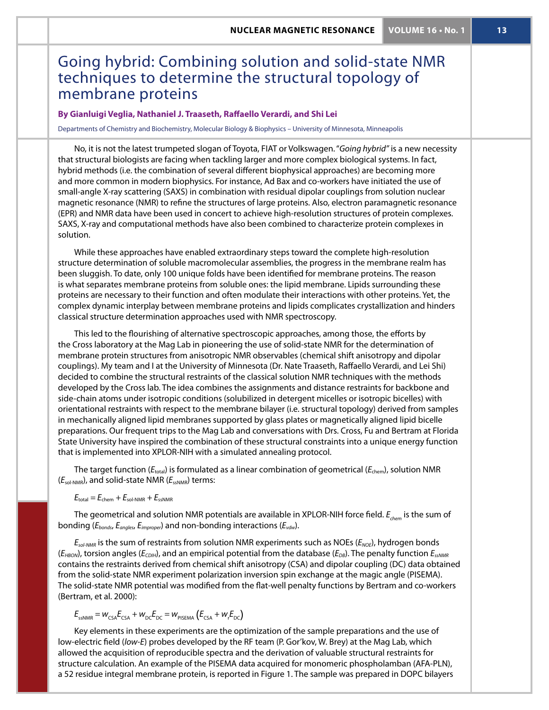## Going hybrid: Combining solution and solid-state NMR techniques to determine the structural topology of membrane proteins

### **By Gianluigi Veglia, Nathaniel J. Traaseth, Raffaello Verardi, and Shi Lei**

Departments of Chemistry and Biochemistry, Molecular Biology & Biophysics – University of Minnesota, Minneapolis

No, it is not the latest trumpeted slogan of Toyota, FIAT or Volkswagen. "*Going hybrid"* is a new necessity that structural biologists are facing when tackling larger and more complex biological systems. In fact, hybrid methods (i.e. the combination of several different biophysical approaches) are becoming more and more common in modern biophysics. For instance, Ad Bax and co-workers have initiated the use of small-angle X-ray scattering (SAXS) in combination with residual dipolar couplings from solution nuclear magnetic resonance (NMR) to refine the structures of large proteins. Also, electron paramagnetic resonance (EPR) and NMR data have been used in concert to achieve high-resolution structures of protein complexes. SAXS, X-ray and computational methods have also been combined to characterize protein complexes in solution.

While these approaches have enabled extraordinary steps toward the complete high-resolution structure determination of soluble macromolecular assemblies, the progress in the membrane realm has been sluggish. To date, only 100 unique folds have been identified for membrane proteins. The reason is what separates membrane proteins from soluble ones: the lipid membrane. Lipids surrounding these proteins are necessary to their function and often modulate their interactions with other proteins. Yet, the complex dynamic interplay between membrane proteins and lipids complicates crystallization and hinders classical structure determination approaches used with NMR spectroscopy.

This led to the flourishing of alternative spectroscopic approaches, among those, the efforts by the Cross laboratory at the Mag Lab in pioneering the use of solid-state NMR for the determination of membrane protein structures from anisotropic NMR observables (chemical shift anisotropy and dipolar couplings). My team and I at the University of Minnesota (Dr. Nate Traaseth, Raffaello Verardi, and Lei Shi) decided to combine the structural restraints of the classical solution NMR techniques with the methods developed by the Cross lab. The idea combines the assignments and distance restraints for backbone and side-chain atoms under isotropic conditions (solubilized in detergent micelles or isotropic bicelles) with orientational restraints with respect to the membrane bilayer (i.e. structural topology) derived from samples in mechanically aligned lipid membranes supported by glass plates or magnetically aligned lipid bicelle preparations. Our frequent trips to the Mag Lab and conversations with Drs. Cross, Fu and Bertram at Florida State University have inspired the combination of these structural constraints into a unique energy function that is implemented into XPLOR-NIH with a simulated annealing protocol.

The target function ( $E_{total}$ ) is formulated as a linear combination of geometrical ( $E_{chem}$ ), solution NMR ( $E_{\text{sol-NMR}}$ ), and solid-state NMR ( $E_{\text{ssNNR}}$ ) terms:

 $E_{\text{total}} = E_{\text{chem}} + E_{\text{sol-NMR}} + E_{\text{ssNNRR}}$ 

The geometrical and solution NMR potentials are available in XPLOR-NIH force field.  $E_{\text{chem}}$  is the sum of bonding (*Ebonds*, *Eangles*, *Eimproper*) and non-bonding interactions (*Evdw*).

*Esol-NMR* is the sum of restraints from solution NMR experiments such as NOEs (*ENOE*), hydrogen bonds (*EHBON*), torsion angles (*ECDIH*), and an empirical potential from the database (*EDB*). The penalty function *EssNMR* contains the restraints derived from chemical shift anisotropy (CSA) and dipolar coupling (DC) data obtained from the solid-state NMR experiment polarization inversion spin exchange at the magic angle (PISEMA). The solid-state NMR potential was modified from the flat-well penalty functions by Bertram and co-workers (Bertram, et al. 2000):

$$
E_{\text{ssNMR}} = w_{\text{CSA}} E_{\text{CSA}} + w_{\text{DC}} E_{\text{DC}} = w_{\text{pissMA}} (E_{\text{CSA}} + w_{\text{r}} E_{\text{DC}})
$$

Key elements in these experiments are the optimization of the sample preparations and the use of low-electric field (*low-E*) probes developed by the RF team (P. Gor'kov, W. Brey) at the Mag Lab, which allowed the acquisition of reproducible spectra and the derivation of valuable structural restraints for structure calculation. An example of the PISEMA data acquired for monomeric phospholamban (AFA-PLN), a 52 residue integral membrane protein, is reported in Figure 1. The sample was prepared in DOPC bilayers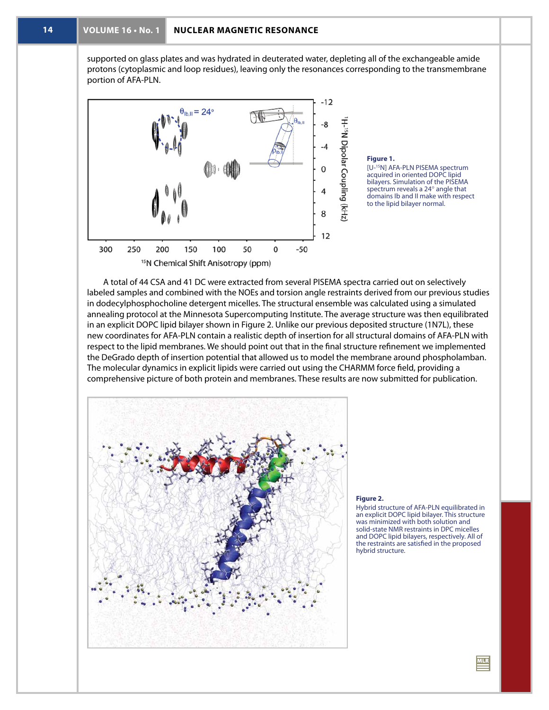supported on glass plates and was hydrated in deuterated water, depleting all of the exchangeable amide protons (cytoplasmic and loop residues), leaving only the resonances corresponding to the transmembrane portion of AFA-PLN.



### **Figure 1.**

[U-15N] AFA-PLN PISEMA spectrum acquired in oriented DOPC lipid bilayers. Simulation of the PISEMA spectrum reveals a 24° angle that domains Ib and II make with respect to the lipid bilayer normal.

A total of 44 CSA and 41 DC were extracted from several PISEMA spectra carried out on selectively labeled samples and combined with the NOEs and torsion angle restraints derived from our previous studies in dodecylphosphocholine detergent micelles. The structural ensemble was calculated using a simulated annealing protocol at the Minnesota Supercomputing Institute. The average structure was then equilibrated in an explicit DOPC lipid bilayer shown in Figure 2. Unlike our previous deposited structure (1N7L), these new coordinates for AFA-PLN contain a realistic depth of insertion for all structural domains of AFA-PLN with respect to the lipid membranes. We should point out that in the final structure refinement we implemented the DeGrado depth of insertion potential that allowed us to model the membrane around phospholamban. The molecular dynamics in explicit lipids were carried out using the CHARMM force field, providing a comprehensive picture of both protein and membranes. These results are now submitted for publication.



### **Figure 2.**

Hybrid structure of AFA-PLN equilibrated in an explicit DOPC lipid bilayer. This structure was minimized with both solution and solid-state NMR restraints in DPC micelles and DOPC lipid bilayers, respectively. All of the restraints are satisfied in the proposed hybrid structure.

 $\mathbf{m}$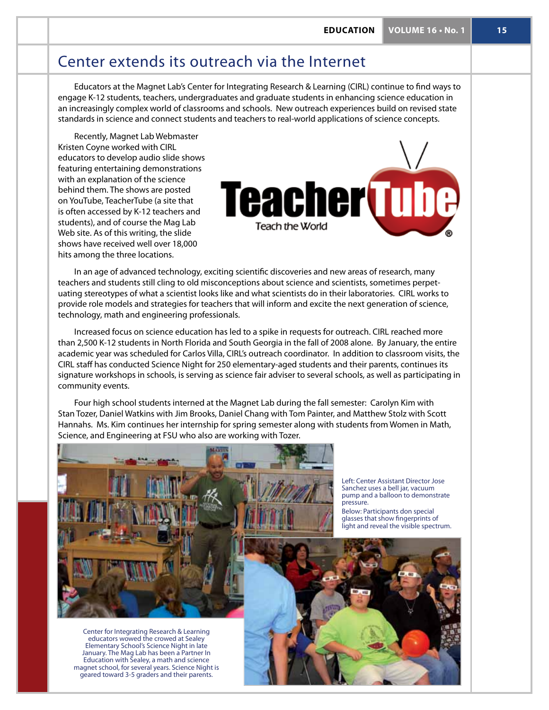## Center extends its outreach via the Internet

Educators at the Magnet Lab's Center for Integrating Research & Learning (CIRL) continue to find ways to engage K-12 students, teachers, undergraduates and graduate students in enhancing science education in an increasingly complex world of classrooms and schools. New outreach experiences build on revised state standards in science and connect students and teachers to real-world applications of science concepts.

Recently, Magnet Lab Webmaster Kristen Coyne worked with CIRL educators to develop audio slide shows featuring entertaining demonstrations with an explanation of the science behind them. The shows are posted on YouTube, TeacherTube (a site that is often accessed by K-12 teachers and students), and of course the Mag Lab Web site. As of this writing, the slide shows have received well over 18,000 hits among the three locations.



In an age of advanced technology, exciting scientific discoveries and new areas of research, many teachers and students still cling to old misconceptions about science and scientists, sometimes perpetuating stereotypes of what a scientist looks like and what scientists do in their laboratories. CIRL works to provide role models and strategies for teachers that will inform and excite the next generation of science, technology, math and engineering professionals.

Increased focus on science education has led to a spike in requests for outreach. CIRL reached more than 2,500 K-12 students in North Florida and South Georgia in the fall of 2008 alone. By January, the entire academic year was scheduled for Carlos Villa, CIRL's outreach coordinator. In addition to classroom visits, the CIRL staff has conducted Science Night for 250 elementary-aged students and their parents, continues its signature workshops in schools, is serving as science fair adviser to several schools, as well as participating in community events.

Four high school students interned at the Magnet Lab during the fall semester: Carolyn Kim with Stan Tozer, Daniel Watkins with Jim Brooks, Daniel Chang with Tom Painter, and Matthew Stolz with Scott Hannahs. Ms. Kim continues her internship for spring semester along with students from Women in Math, Science, and Engineering at FSU who also are working with Tozer.



Center for Integrating Research & Learning educators wowed the crowed at Sealey Elementary School's Science Night in late January. The Mag Lab has been a Partner In Education with Sealey, a math and science magnet school, for several years. Science Night is geared toward 3-5 graders and their parents.

Left: Center Assistant Director Jose Sanchez uses a bell jar, vacuum pump and a balloon to demonstrate pressure. Below: Participants don special

glasses that show fingerprints of light and reveal the visible spectrum.

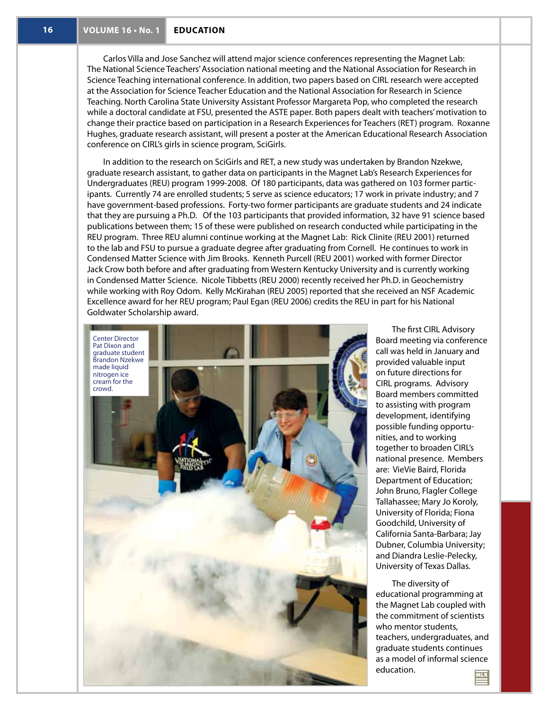Carlos Villa and Jose Sanchez will attend major science conferences representing the Magnet Lab: The National Science Teachers' Association national meeting and the National Association for Research in Science Teaching international conference. In addition, two papers based on CIRL research were accepted at the Association for Science Teacher Education and the National Association for Research in Science Teaching. North Carolina State University Assistant Professor Margareta Pop, who completed the research while a doctoral candidate at FSU, presented the ASTE paper. Both papers dealt with teachers' motivation to change their practice based on participation in a Research Experiences for Teachers (RET) program. Roxanne Hughes, graduate research assistant, will present a poster at the American Educational Research Association conference on CIRL's girls in science program, SciGirls.

In addition to the research on SciGirls and RET, a new study was undertaken by Brandon Nzekwe, graduate research assistant, to gather data on participants in the Magnet Lab's Research Experiences for Undergraduates (REU) program 1999-2008. Of 180 participants, data was gathered on 103 former participants. Currently 74 are enrolled students; 5 serve as science educators; 17 work in private industry; and 7 have government-based professions. Forty-two former participants are graduate students and 24 indicate that they are pursuing a Ph.D. Of the 103 participants that provided information, 32 have 91 science based publications between them; 15 of these were published on research conducted while participating in the REU program. Three REU alumni continue working at the Magnet Lab: Rick Clinite (REU 2001) returned to the lab and FSU to pursue a graduate degree after graduating from Cornell. He continues to work in Condensed Matter Science with Jim Brooks. Kenneth Purcell (REU 2001) worked with former Director Jack Crow both before and after graduating from Western Kentucky University and is currently working in Condensed Matter Science. Nicole Tibbetts (REU 2000) recently received her Ph.D. in Geochemistry while working with Roy Odom. Kelly McKirahan (REU 2005) reported that she received an NSF Academic Excellence award for her REU program; Paul Egan (REU 2006) credits the REU in part for his National Goldwater Scholarship award.



The first CIRL Advisory Board meeting via conference call was held in January and provided valuable input on future directions for CIRL programs. Advisory Board members committed to assisting with program development, identifying possible funding opportunities, and to working together to broaden CIRL's national presence. Members are: VieVie Baird, Florida Department of Education; John Bruno, Flagler College Tallahassee; Mary Jo Koroly, University of Florida; Fiona Goodchild, University of California Santa-Barbara; Jay Dubner, Columbia University; and Diandra Leslie-Pelecky, University of Texas Dallas.

The diversity of educational programming at the Magnet Lab coupled with the commitment of scientists who mentor students, teachers, undergraduates, and graduate students continues as a model of informal science education. **MLR**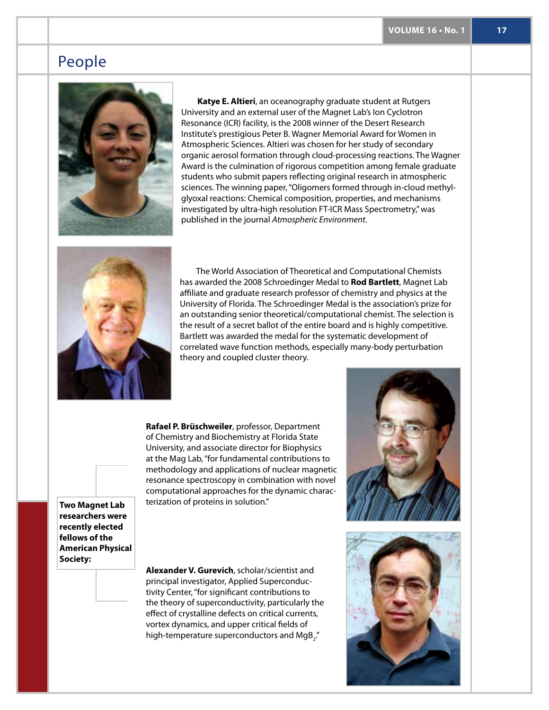## People



**Katye E. Altieri**, an oceanography graduate student at Rutgers University and an external user of the Magnet Lab's Ion Cyclotron Resonance (ICR) facility, is the 2008 winner of the Desert Research Institute's prestigious Peter B. Wagner Memorial Award for Women in Atmospheric Sciences. Altieri was chosen for her study of secondary organic aerosol formation through cloud-processing reactions. The Wagner Award is the culmination of rigorous competition among female graduate students who submit papers reflecting original research in atmospheric sciences. The winning paper, "Oligomers formed through in-cloud methylglyoxal reactions: Chemical composition, properties, and mechanisms investigated by ultra-high resolution FT-ICR Mass Spectrometry," was published in the journal *Atmospheric Environment*.



The World Association of Theoretical and Computational Chemists has awarded the 2008 Schroedinger Medal to **Rod Bartlett**, Magnet Lab affiliate and graduate research professor of chemistry and physics at the University of Florida. The Schroedinger Medal is the association's prize for an outstanding senior theoretical/computational chemist. The selection is the result of a secret ballot of the entire board and is highly competitive. Bartlett was awarded the medal for the systematic development of correlated wave function methods, especially many-body perturbation theory and coupled cluster theory.

**Rafael P. Brüschweiler**, professor, Department of Chemistry and Biochemistry at Florida State University, and associate director for Biophysics at the Mag Lab, "for fundamental contributions to methodology and applications of nuclear magnetic resonance spectroscopy in combination with novel computational approaches for the dynamic characterization of proteins in solution."

**Two Magnet Lab researchers were recently elected fellows of the American Physical Society:** 

**Alexander V. Gurevich**, scholar/scientist and principal investigator, Applied Superconductivity Center, "for significant contributions to the theory of superconductivity, particularly the effect of crystalline defects on critical currents, vortex dynamics, and upper critical fields of high-temperature superconductors and MgB $_{\textrm{2}}^{\textrm{}}$ ."

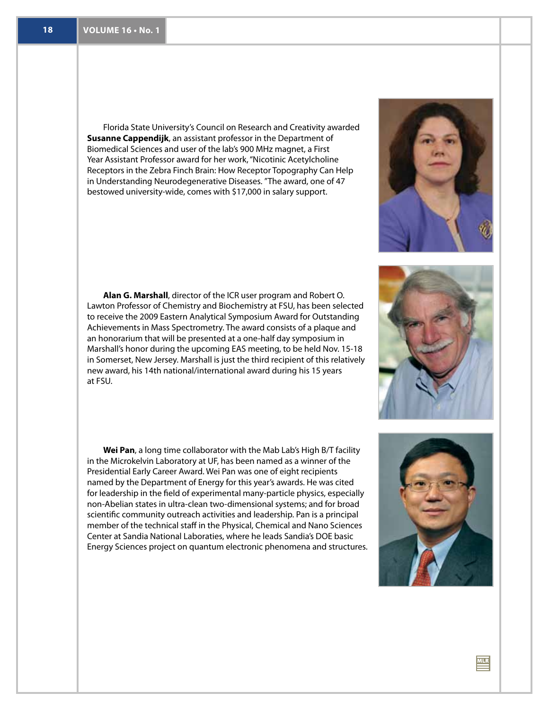Florida State University's Council on Research and Creativity awarded **Susanne Cappendijk**, an assistant professor in the Department of Biomedical Sciences and user of the lab's 900 MHz magnet, a First Year Assistant Professor award for her work, "Nicotinic Acetylcholine Receptors in the Zebra Finch Brain: How Receptor Topography Can Help in Understanding Neurodegenerative Diseases. "The award, one of 47 bestowed university-wide, comes with \$17,000 in salary support.

**Alan G. Marshall**, director of the ICR user program and Robert O. Lawton Professor of Chemistry and Biochemistry at FSU, has been selected to receive the 2009 Eastern Analytical Symposium Award for Outstanding Achievements in Mass Spectrometry. The award consists of a plaque and an honorarium that will be presented at a one-half day symposium in Marshall's honor during the upcoming EAS meeting, to be held Nov. 15-18 in Somerset, New Jersey. Marshall is just the third recipient of this relatively new award, his 14th national/international award during his 15 years at FSU.

**Wei Pan**, a long time collaborator with the Mab Lab's High B/T facility in the Microkelvin Laboratory at UF, has been named as a winner of the Presidential Early Career Award. Wei Pan was one of eight recipients named by the Department of Energy for this year's awards. He was cited for leadership in the field of experimental many-particle physics, especially non-Abelian states in ultra-clean two-dimensional systems; and for broad scientific community outreach activities and leadership. Pan is a principal member of the technical staff in the Physical, Chemical and Nano Sciences Center at Sandia National Laboraties, where he leads Sandia's DOE basic Energy Sciences project on quantum electronic phenomena and structures.



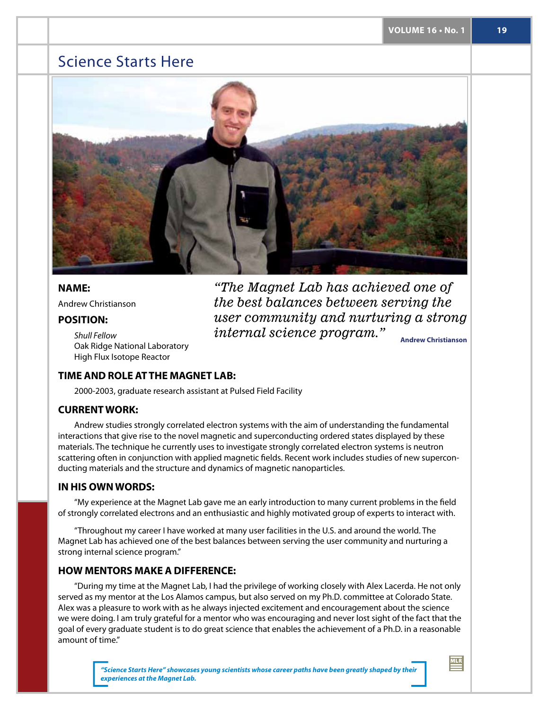## Science Starts Here



### **name:**

Andrew Christianson

### **Position:**

*Shull Fellow* Oak Ridge National Laboratory High Flux Isotope Reactor

**Andrew Christianson** *"The Magnet Lab has achieved one of the best balances between serving the user community and nurturing a strong internal science program."*

### **TIME AND ROLE AT THE MAGNET LAB:**

2000-2003, graduate research assistant at Pulsed Field Facility

### **Current work:**

Andrew studies strongly correlated electron systems with the aim of understanding the fundamental interactions that give rise to the novel magnetic and superconducting ordered states displayed by these materials. The technique he currently uses to investigate strongly correlated electron systems is neutron scattering often in conjunction with applied magnetic fields. Recent work includes studies of new superconducting materials and the structure and dynamics of magnetic nanoparticles.

### **IN His OWN WORDS:**

"My experience at the Magnet Lab gave me an early introduction to many current problems in the field of strongly correlated electrons and an enthusiastic and highly motivated group of experts to interact with.

"Throughout my career I have worked at many user facilities in the U.S. and around the world. The Magnet Lab has achieved one of the best balances between serving the user community and nurturing a strong internal science program."

### **HOW MENTORS MAKE A DIFFERENCE:**

"During my time at the Magnet Lab, I had the privilege of working closely with Alex Lacerda. He not only served as my mentor at the Los Alamos campus, but also served on my Ph.D. committee at Colorado State. Alex was a pleasure to work with as he always injected excitement and encouragement about the science we were doing. I am truly grateful for a mentor who was encouraging and never lost sight of the fact that the goal of every graduate student is to do great science that enables the achievement of a Ph.D. in a reasonable amount of time."

> *"Science Starts Here" showcases young scientists whose career paths have been greatly shaped by their experiences at the Magnet Lab.*